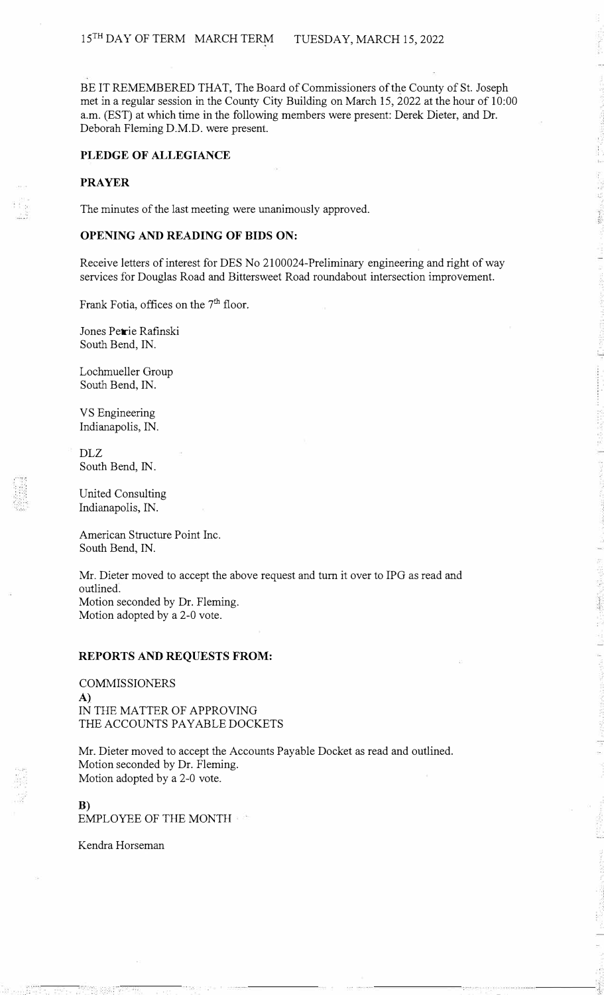BE IT REMEMBERED THAT, The Board of Commissioners of the County of St. Joseph met in a regular session in the County City Building on March 15, 2022 at the hour of 10:00 a.m. (EST) at which time in the following members were present: Derek Dieter, and Dr. Deborah Fleming D.M.D. were present.

### **PLEDGE OF ALLEGIANCE**

## **PRAYER**

The minutes of the last meeting were unanimously approved.

### **OPENING AND READING OF BIDS ON:**

Receive letters of interest for DES No 2100024-Preliminary engineering and right of way services for Douglas Road and Bittersweet Road roundabout intersection improvement.

Frank Fotia, offices on the 7<sup>th</sup> floor.

Jones Petrie Rafinski South Bend, IN.

Lochmueller Group South Bend, IN.

VS Engineering Indianapolis, IN.

DLZ South Bend, IN.

United Consulting Indianapolis, IN.

American Structure Point Inc. South Bend, IN.

Mr. Dieter moved to accept the above request and turn it over to IPG as read and outlined. Motion seconded by Dr. Fleming. Motion adopted by a 2-0 vote.

### **REPORTS AND REQUESTS FROM:**

COMMISSIONERS A) IN THE MATTER OF APPROVING THE ACCOUNTS PAYABLE DOCKETS

Mr. Dieter moved to accept the Accounts Payable Docket as read and outlined. Motion seconded by Dr. Fleming. Motion adopted by a 2-0 vote.

### **B)**  EMPLOYEE OF THE MONTH

Kendra Horseman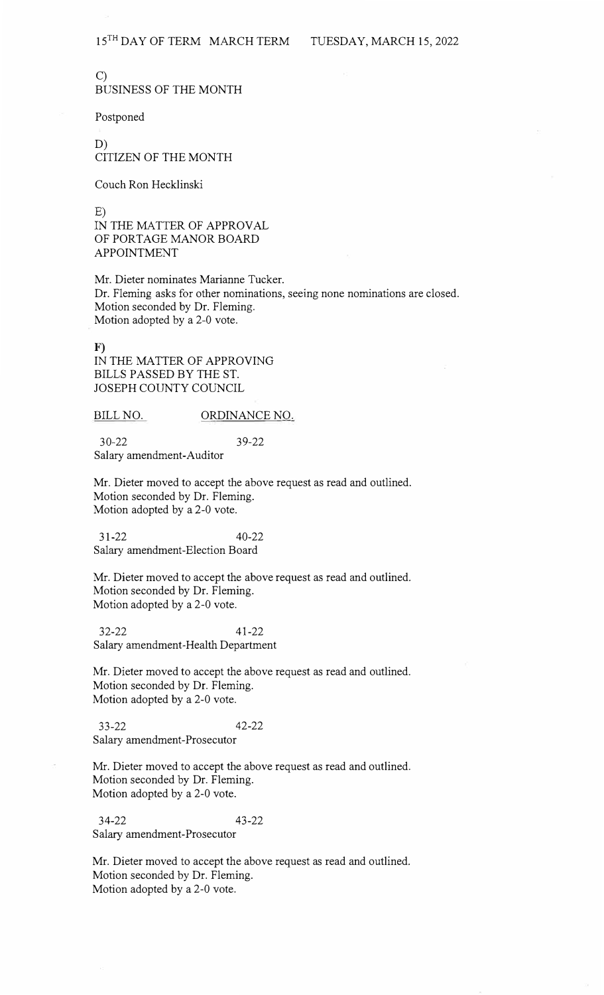BUSINESS OF THE MONTH

Postponed

C)

D) CITIZEN OF THE MONTH

Couch Ron Hecklinski

E) IN THE MATTER OF APPROVAL OF PORTAGE MANOR BOARD APPOINTMENT

Mr. Dieter nominates Marianne Tucker. Dr. Fleming asks for other nominations, seeing none nominations are closed. Motion seconded by Dr. Fleming. Motion adopted by a 2-0 vote.

F) IN THE MATTER OF APPROVING BILLS PASSED BY THE ST. JOSEPH COUNTY COUNCIL

BILL NO. ORDINANCE NO.

30-22 39-22 Salary amendment-Auditor

Mr. Dieter moved to accept the above request as read and outlined. Motion seconded by Dr. Fleming. Motion adopted by a 2-0 vote.

31-22 40-22 Salary amendment-Election Board

Mr. Dieter moved to accept the above request as read and outlined. Motion seconded by Dr. Fleming. Motion adopted by a 2-0 vote.

32-22 41-22 Salary amendment-Health Department

Mr. Dieter moved to accept the above request as read and outlined. Motion seconded by Dr. Fleming. Motion adopted by a 2-0 vote.

33-22 42-22 Salary amendment-Prosecutor

Mr. Dieter moved to accept the above request as read and outlined. Motion seconded by Dr. Fleming. Motion adopted by a 2-0 vote.

34-22 43-22 Salary amendment-Prosecutor

Mr. Dieter moved to accept the above request as read and outlined. Motion seconded by Dr. Fleming. Motion adopted by a 2-0 vote.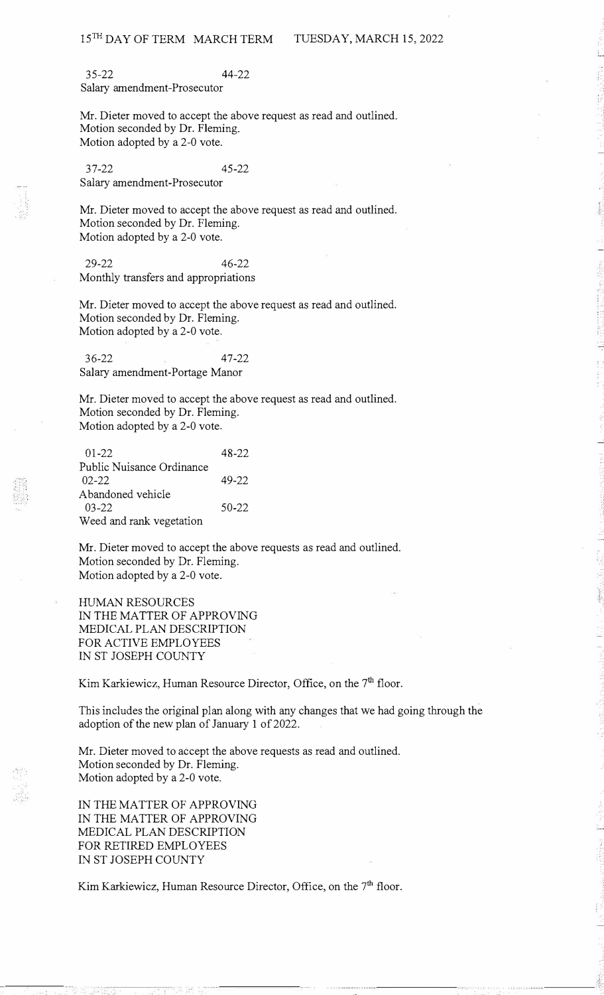35-22 44-22 Salary amendment-Prosecutor

Mr. Dieter moved to accept the above request as read and outlined. Motion seconded by Dr. Fleming. Motion adopted by a 2-0 vote.

37-22 45-22 Salary amendment-Prosecutor

Mr. Dieter moved to accept the above request as read and outlined. Motion seconded by Dr. Fleming. Motion adopted by a 2-0 vote.

29-22 46-22 Monthly transfers and appropriations

Mr. Dieter moved to accept the above request as read and outlined. Motion seconded by Dr. Fleming. Motion adopted by a 2-0 vote.

36-22 47-22 Salary amendment-Portage Manor

Mr. Dieter moved to accept the above request as read and outlined. Motion seconded by Dr. Fleming. Motion adopted by a 2-0 vote.

| $01-22$                   | $48 - 22$ |
|---------------------------|-----------|
| Public Nuisance Ordinance |           |
| $02 - 22$                 | $49 - 22$ |
| A bandoned vehicle        |           |
| $03 - 22$                 | $50 - 22$ |
| Weed and rank vegetation  |           |

Mr. Dieter moved to accept the above requests as read and outlined. Motion seconded by Dr. Fleming. Motion adopted by a 2-0 vote.

HUMAN RESOURCES IN THE MATTER OF APPROVING MEDICAL PLAN DESCRIPTION FOR ACTIVE EMPLOYEES IN ST JOSEPH COUNTY

Kim Karkiewicz, Human Resource Director, Office, on the 7<sup>th</sup> floor.

This includes the original plan along with any changes that we had going through the adoption of the new plan of January 1 of 2022.

Mr. Dieter moved to accept the above requests as read and outlined. Motion seconded by Dr. Fleming. Motion adopted by a 2-0 vote.

IN THE MATTER OF APPROVING IN THE MATTER OF APPROVING MEDICAL PLAN DESCRIPTION FOR RETIRED EMPLOYEES IN ST JOSEPH COUNTY

pil.

Kim Karkiewicz, Human Resource Director, Office, on the 7<sup>th</sup> floor.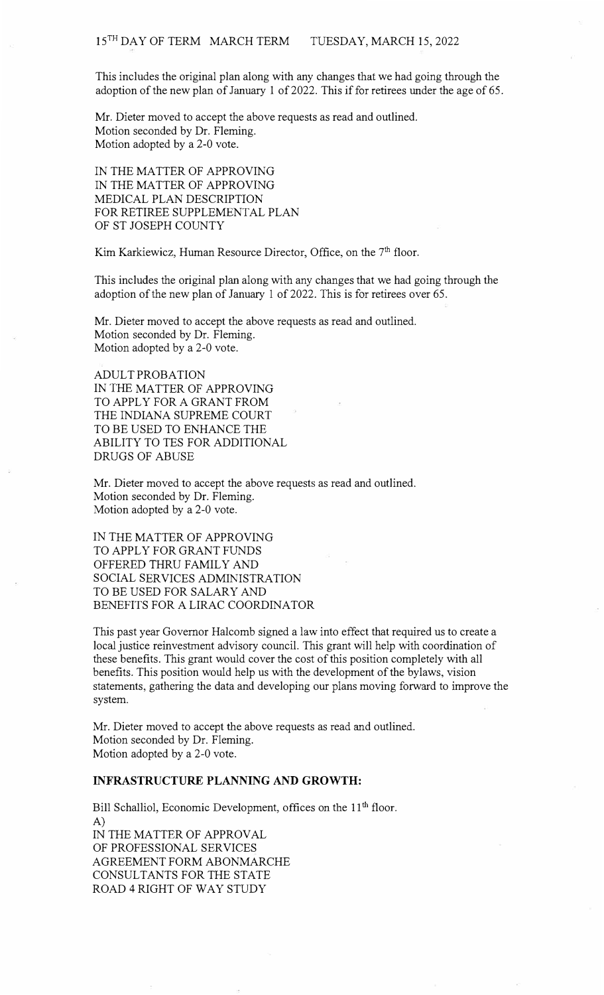This includes the original plan along with any changes that we had going through the adoption of the new plan of January 1 of 2022. This if for retirees under the age of 65.

Mr. Dieter moved to accept the above requests as read and outlined. Motion seconded by Dr. Fleming. Motion adopted by a 2-0 vote.

IN THE MATTER OF APPROVING IN THE MATTER OF APPROVING MEDICAL PLAN DESCRIPTION FOR RETIREE SUPPLEMENTAL PLAN OF ST JOSEPH COUNTY

Kim Karkiewicz, Human Resource Director, Office, on the  $7<sup>th</sup>$  floor.

This includes the original plan along with any changes that we had going through the adoption of the new plan of January 1 of 2022. This is for retirees over 65.

Mr. Dieter moved to accept the above requests as read and outlined. Motion seconded by Dr. Fleming. Motion adopted by a 2-0 vote.

ADULT PROBATION IN THE MATTER OF APPROVING TO APPLY FOR A GRANT FROM THE INDIANA SUPREME COURT TO BE USED TO ENHANCE THE ABILITY TO TES FOR ADDITIONAL DRUGS OF ABUSE

Mr. Dieter moved to accept the above requests as read and outlined. Motion seconded by Dr. Fleming. Motion adopted by a 2-0 vote.

IN THE MATTER OF APPROVING TO APPLY FOR GRANT FUNDS OFFERED THRU FAMILY AND SOCIAL SERVICES ADMINISTRATION TO BE USED FOR SALARY AND BENEFITS FOR A LIRAC COORDINATOR

This past year Governor Halcomb signed a law into effect that required us to create a local justice reinvestment advisory council. This grant will help with coordination of these benefits. This grant would cover the cost of this position completely with all benefits. This position would help us with the development of the bylaws, vision statements, gathering the data and developing our plans moving forward to improve the system.

Mr. Dieter moved to accept the above requests as read and outlined. Motion seconded by Dr. Fleming. Motion adopted by a 2-0 vote.

# **INFRASTRUCTURE PLANNING AND GROWTH:**

Bill Schalliol, Economic Development, offices on the 11<sup>th</sup> floor. A) IN THE MATTER OF APPROVAL OF PROFESSIONAL SERVICES AGREEMENT FORM ABONMARCHE CONSULTANTS FOR THE STATE ROAD 4 RIGHT OF WAY STUDY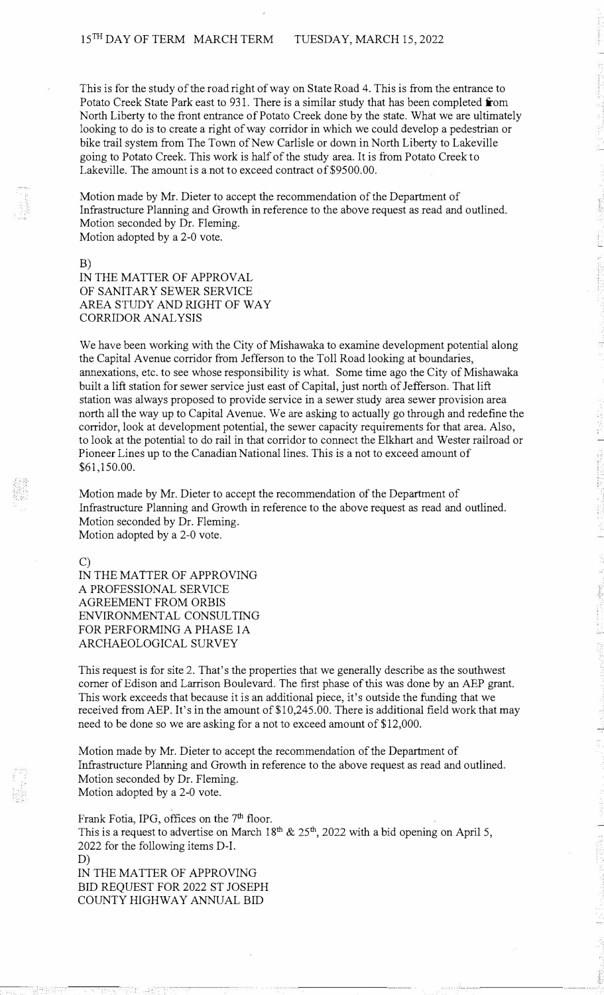This is for the study of the road right of way on State Road 4. This is from the entrance to Potato Creek State Park east to 931. There is a similar study that has been completed **from** North Liberty to the front entrance of Potato Creek done by the state. What we are ultimately looking to do is to create a right of way corridor in which we could develop a pedestrian or bike trail system from The Town of New Carlisle or down in North Liberty to Lakeville going to Potato Creek. This work is half of the study area. It is from Potato Creek to Lakeville. The amount is a not to exceed contract of \$9500.00.

Motion made by Mr. Dieter to accept the recommendation of the Department of Infrastructure Planning and Growth in reference to the above request as read and outlined. Motion seconded by Dr. Fleming. Motion adopted by a 2-0 vote.

B) IN THE MATTER OF APPROVAL OF SANITARY SEWER SERVICE AREA STUDY AND RIGHT OF WAY CORRIDOR ANALYSIS

We have been working with the City of Mishawaka to examine development potential along the Capital Avenue corridor from Jefferson to the Toll Road looking at boundaries, annexations, etc. to see whose responsibility is what. Some time ago the City of Mishawaka built a lift station for sewer service just east of Capital, just north of Jefferson. That lift station was always proposed to provide service in a sewer study area sewer provision area north all the way up to Capital Avenue. We are asking to actually go through and redefine the corridor, look at development potential, the sewer capacity requirements for that area. Also, to look at the potential to do rail in that corridor to connect the Elkhart and Wester railroad or Pioneer Lines up to the Canadian National lines. This is a not to exceed amount of \$61,150.00.

Motion made by Mr. Dieter to accept the recommendation of the Department of Infrastructure Planning and Growth in reference to the above request as read and outlined. Motion seconded by Dr. Fleming. Motion adopted by a 2-0 vote.

C)

IN THE MATTER OF APPROVING A PROFESSIONAL SERVICE AGREEMENT FROM ORBIS ENVIRONMENTAL CONSULTING FOR PERFORMING A PHASE IA ARCHAEOLOGICAL SURVEY

This request is for site 2. That's the properties that we generally describe as the southwest comer of Edison and Larrison Boulevard. The first phase of this was done by an AEP grant. This work exceeds that because it is an additional piece, it's outside the funding that we received from AEP. It's in the amount of \$10,245.00. There is additional field work that may need to be done so we are asking for a not to exceed amount of \$12,000.

Motion made by Mr. Dieter to accept the recommendation of the Department of Infrastructure Planning and Growth in reference to the above request as read and outlined. Motion seconded by Dr. Fleming. Motion adopted by a 2-0 vote.

Frank Fotia, IPG, offices on the 7<sup>th</sup> floor. This is a request to advertise on March  $18<sup>th</sup>$  &  $25<sup>th</sup>$ , 2022 with a bid opening on April 5, 2022 for the following items D-I. D) IN THE MATTER OF APPROVING BID REQUEST FOR 2022 ST JOSEPH COUNTY HIGHWAY ANNUAL BID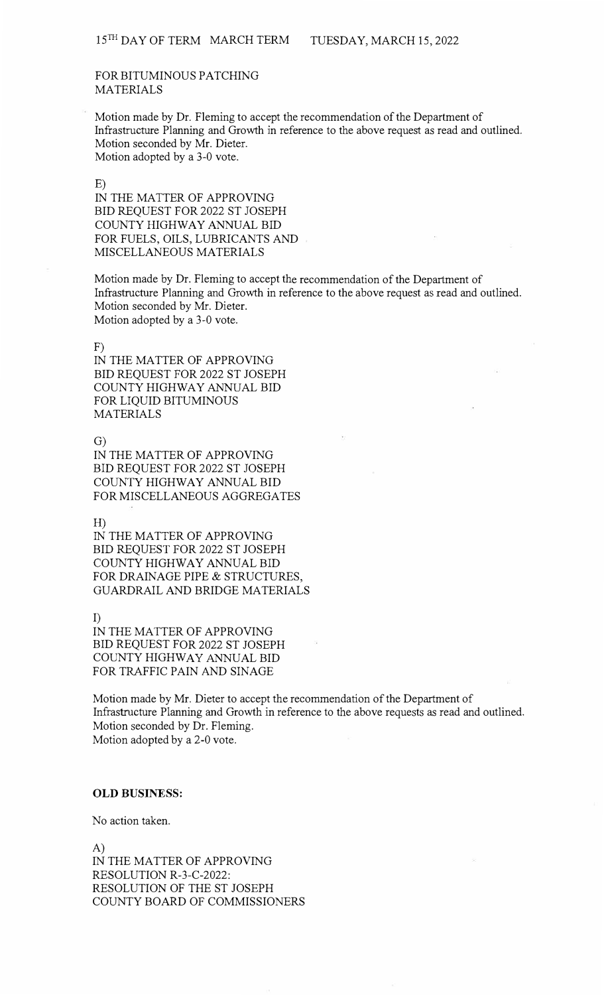## FOR BITUMINOUS PATCHING MATERIALS

Motion made by Dr. Fleming to accept the recommendation of the Department of Infrastructure Planning and Growth in reference to the above request as read and outlined. Motion seconded by Mr. Dieter. Motion adopted by a 3-0 vote.

#### E)

IN THE MATTER OF APPROVING BID REQUEST FOR 2022 ST JOSEPH COUNTY HIGHWAY ANNUAL BID FOR FUELS, OILS, LUBRICANTS AND MISCELLANEOUS MATERIALS

Motion made by Dr. Fleming to accept the recommendation of the Department of Infrastructure Planning and Growth in reference to the above request as read and outlined. Motion seconded by Mr. Dieter. Motion adopted by a 3-0 vote.

F)

IN THE MATTER OF APPROVING BID REQUEST FOR 2022 ST JOSEPH COUNTY HIGHWAY ANNUAL BID FOR LIQUID BITUMINOUS MATERIALS

G)

IN THE MATTER OF APPROVING BID REQUEST FOR 2022 ST JOSEPH COUNTY HIGHWAY ANNUAL BID FOR MISCELLANEOUS AGGREGATES

H)

IN THE MATTER OF APPROVING BID REQUEST FOR 2022 ST JOSEPH COUNTY HIGHWAY ANNUAL BID FOR DRAINAGE PIPE & STRUCTURES, GUARDRAIL AND BRIDGE MATERIALS

I) IN THE MATTER OF APPROVING BID REQUEST FOR 2022 ST JOSEPH COUNTY HIGHWAY ANNUAL BID FOR TRAFFIC PAIN AND SINAGE

Motion made by Mr. Dieter to accept the recommendation of the Department of Infrastructure Planning and Growth in reference to the above requests as read and outlined. Motion seconded by Dr. Fleming. Motion adopted by a 2-0 vote.

### **OLD BUSINESS:**

No action taken.

A) IN THE MATTER OF APPROVING RESOLUTION R-3-C-2022: RESOLUTION OF THE ST JOSEPH COUNTY BOARD OF COMMISSIONERS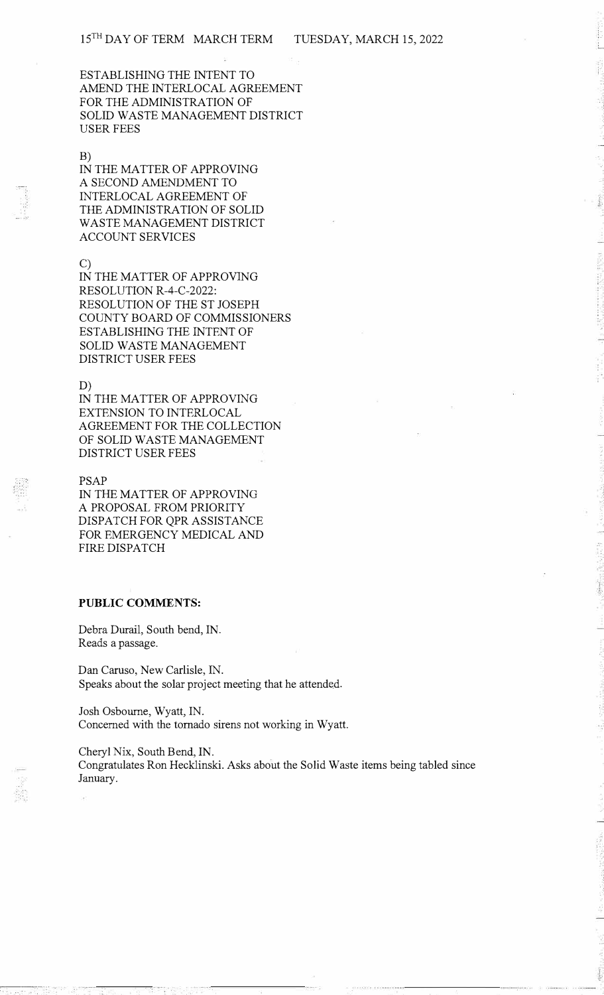ESTABLISHING THE INTENT TO AMEND THE INTERLOCAL AGREEMENT FOR THE ADMINISTRATION OF SOLID WASTE MANAGEMENT DISTRICT USER FEES

#### B)

IN THE MATTER OF APPROVING A SECOND AMENDMENT TO INTERLOCAL AGREEMENT OF THE ADMINISTRATION OF SOLID WASTE MANAGEMENT DISTRICT ACCOUNT SERVICES

### C)

IN THE MATTER OF APPROVING RESOLUTION R-4-C-2022: RESOLUTION OF THE ST JOSEPH COUNTY BOARD OF COMMISSIONERS ESTABLISHING THE INTENT OF SOLID WASTE MANAGEMENT DISTRICT USER FEES

#### D)

IN THE MATTER OF APPROVING EXTENSION TO INTERLOCAL AGREEMENT FOR THE COLLECTION OF SOLID WASTE MANAGEMENT DISTRICT USER FEES

### PSAP

IN THE MATTER OF APPROVING A PROPOSAL FROM PRIORITY DISPATCH FOR QPR ASSISTANCE FOR EMERGENCY MEDICAL AND FIRE DISPATCH

# **PUBLIC COMMENTS:**

Debra Durail, South bend, IN. Reads a passage.

Dan Caruso, New Carlisle, IN. Speaks about the solar project meeting that he attended.

Josh Osbourne, Wyatt, IN. Concerned with the tornado sirens not working in Wyatt.

Cheryl **Nix,** South Bend, IN. Congratulates Ron Hecklinski. Asks about the Solid Waste items being tabled since January.